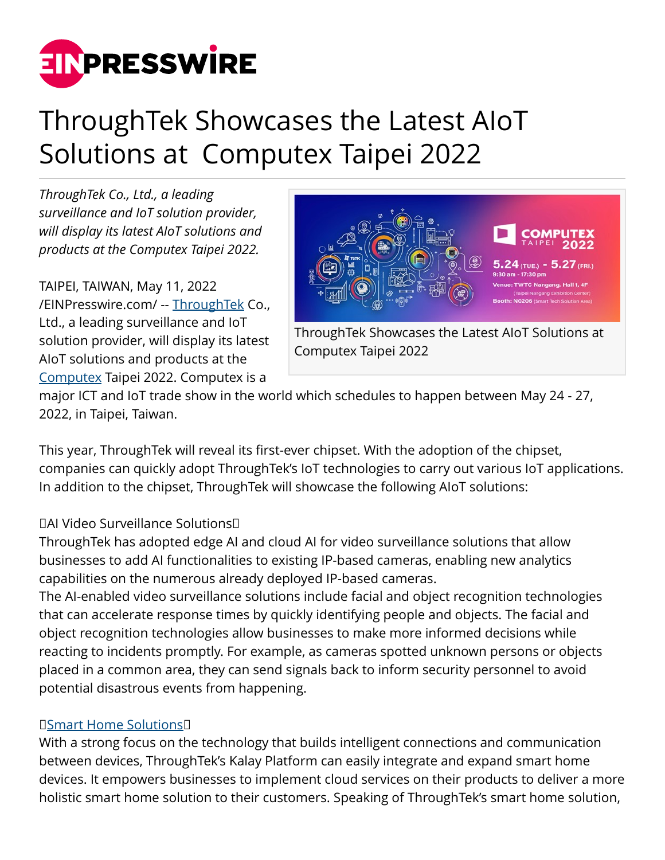

# ThroughTek Showcases the Latest AIoT Solutions at Computex Taipei 2022

*ThroughTek Co., Ltd., a leading surveillance and IoT solution provider, will display its latest AIoT solutions and products at the Computex Taipei 2022.* 

TAIPEI, TAIWAN, May 11, 2022 [/EINPresswire.com/](http://www.einpresswire.com) -- [ThroughTek](https://www.throughtek.com/) Co., Ltd., a leading surveillance and IoT solution provider, will display its latest AIoT solutions and products at the [Computex](https://www.computextaipei.com.tw/en/index/exhibitor-search.html?condition=ThroughTek) Taipei 2022. Computex is a



Computex Taipei 2022

major ICT and IoT trade show in the world which schedules to happen between May 24 - 27, 2022, in Taipei, Taiwan.

This year, ThroughTek will reveal its first-ever chipset. With the adoption of the chipset, companies can quickly adopt ThroughTek's IoT technologies to carry out various IoT applications. In addition to the chipset, ThroughTek will showcase the following AIoT solutions:

# 【AI Video Surveillance Solutions】

ThroughTek has adopted edge AI and cloud AI for video surveillance solutions that allow businesses to add AI functionalities to existing IP-based cameras, enabling new analytics capabilities on the numerous already deployed IP-based cameras.

The AI-enabled video surveillance solutions include facial and object recognition technologies that can accelerate response times by quickly identifying people and objects. The facial and object recognition technologies allow businesses to make more informed decisions while reacting to incidents promptly. For example, as cameras spotted unknown persons or objects placed in a common area, they can send signals back to inform security personnel to avoid potential disastrous events from happening.

### [【Smart Home Solutions】](https://www.throughtek.com/smart-home-solutions/)

With a strong focus on the technology that builds intelligent connections and communication between devices, ThroughTek's Kalay Platform can easily integrate and expand smart home devices. It empowers businesses to implement cloud services on their products to deliver a more holistic smart home solution to their customers. Speaking of ThroughTek's smart home solution,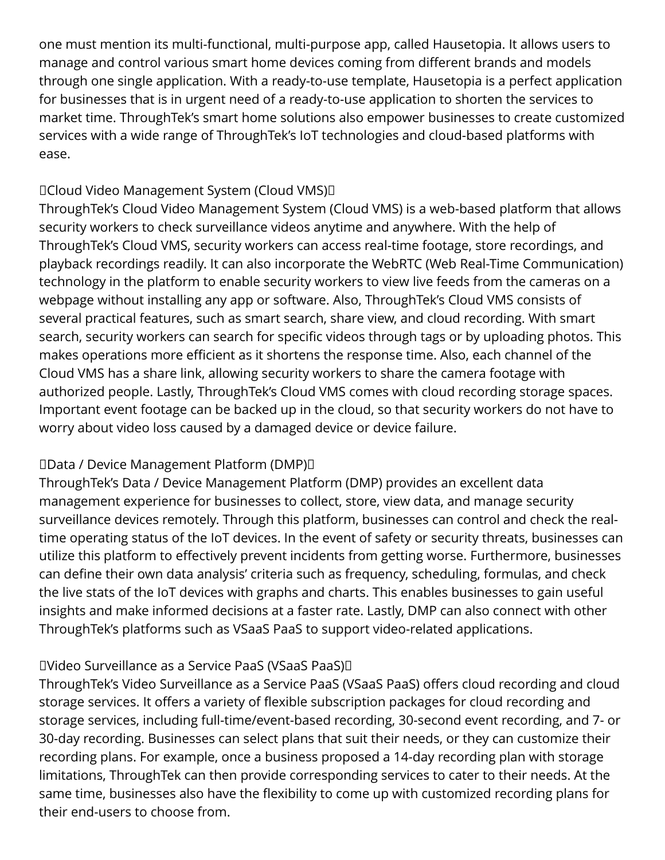one must mention its multi-functional, multi-purpose app, called Hausetopia. It allows users to manage and control various smart home devices coming from different brands and models through one single application. With a ready-to-use template, Hausetopia is a perfect application for businesses that is in urgent need of a ready-to-use application to shorten the services to market time. ThroughTek's smart home solutions also empower businesses to create customized services with a wide range of ThroughTek's IoT technologies and cloud-based platforms with ease.

## 【Cloud Video Management System (Cloud VMS)】

ThroughTek's Cloud Video Management System (Cloud VMS) is a web-based platform that allows security workers to check surveillance videos anytime and anywhere. With the help of ThroughTek's Cloud VMS, security workers can access real-time footage, store recordings, and playback recordings readily. It can also incorporate the WebRTC (Web Real-Time Communication) technology in the platform to enable security workers to view live feeds from the cameras on a webpage without installing any app or software. Also, ThroughTek's Cloud VMS consists of several practical features, such as smart search, share view, and cloud recording. With smart search, security workers can search for specific videos through tags or by uploading photos. This makes operations more efficient as it shortens the response time. Also, each channel of the Cloud VMS has a share link, allowing security workers to share the camera footage with authorized people. Lastly, ThroughTek's Cloud VMS comes with cloud recording storage spaces. Important event footage can be backed up in the cloud, so that security workers do not have to worry about video loss caused by a damaged device or device failure.

### 【Data / Device Management Platform (DMP)】

ThroughTek's Data / Device Management Platform (DMP) provides an excellent data management experience for businesses to collect, store, view data, and manage security surveillance devices remotely. Through this platform, businesses can control and check the realtime operating status of the IoT devices. In the event of safety or security threats, businesses can utilize this platform to effectively prevent incidents from getting worse. Furthermore, businesses can define their own data analysis' criteria such as frequency, scheduling, formulas, and check the live stats of the IoT devices with graphs and charts. This enables businesses to gain useful insights and make informed decisions at a faster rate. Lastly, DMP can also connect with other ThroughTek's platforms such as VSaaS PaaS to support video-related applications.

# 【Video Surveillance as a Service PaaS (VSaaS PaaS)】

ThroughTek's Video Surveillance as a Service PaaS (VSaaS PaaS) offers cloud recording and cloud storage services. It offers a variety of flexible subscription packages for cloud recording and storage services, including full-time/event-based recording, 30-second event recording, and 7- or 30-day recording. Businesses can select plans that suit their needs, or they can customize their recording plans. For example, once a business proposed a 14-day recording plan with storage limitations, ThroughTek can then provide corresponding services to cater to their needs. At the same time, businesses also have the flexibility to come up with customized recording plans for their end-users to choose from.